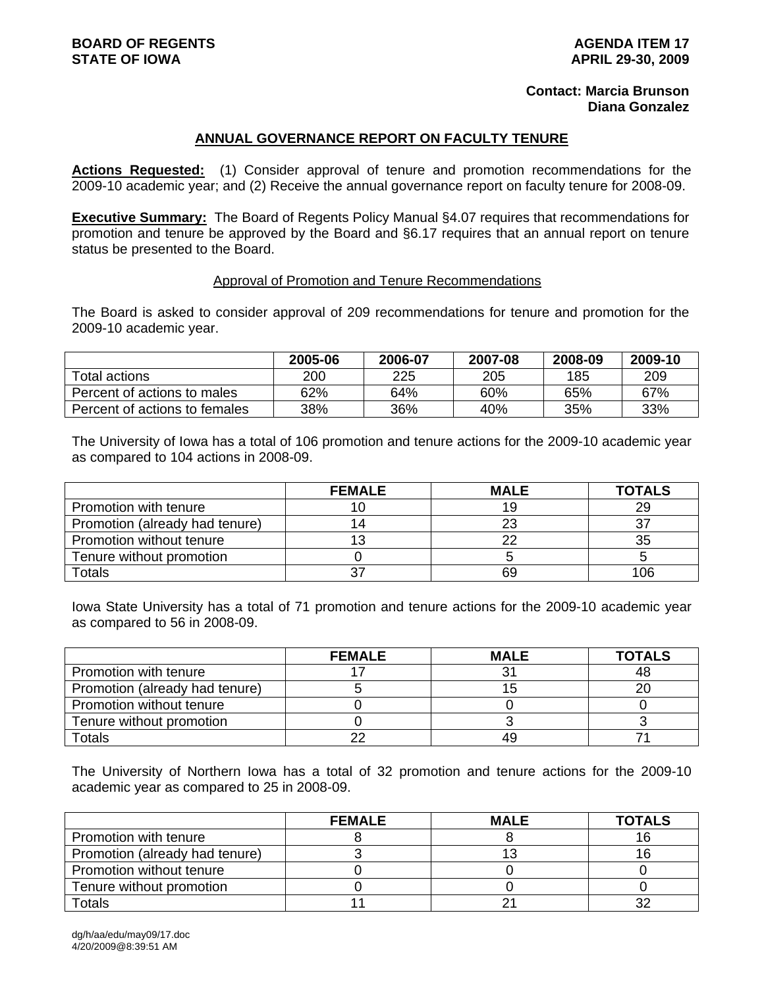## **Contact: Marcia Brunson Diana Gonzalez**

## **ANNUAL GOVERNANCE REPORT ON FACULTY TENURE**

**Actions Requested:** (1) Consider approval of tenure and promotion recommendations for the 2009-10 academic year; and (2) Receive the annual governance report on faculty tenure for 2008-09.

**Executive Summary:** The Board of Regents Policy Manual §4.07 requires that recommendations for promotion and tenure be approved by the Board and §6.17 requires that an annual report on tenure status be presented to the Board.

## Approval of Promotion and Tenure Recommendations

The Board is asked to consider approval of 209 recommendations for tenure and promotion for the 2009-10 academic year.

|                               | 2005-06 | 2006-07 | 2007-08 | 2008-09 | 2009-10 |
|-------------------------------|---------|---------|---------|---------|---------|
| Total actions                 | 200     | 225     | 205     | 185     | 209     |
| Percent of actions to males   | 62%     | 64%     | 60%     | 65%     | 67%     |
| Percent of actions to females | 38%     | 36%     | 40%     | 35%     | 33%     |

The University of Iowa has a total of 106 promotion and tenure actions for the 2009-10 academic year as compared to 104 actions in 2008-09.

|                                | <b>FEMALE</b> | <b>MALE</b> | <b>TOTALS</b> |
|--------------------------------|---------------|-------------|---------------|
| Promotion with tenure          |               | 19          | 29            |
| Promotion (already had tenure) | 14            | 23          | 37            |
| Promotion without tenure       |               | າາ          | 35            |
| Tenure without promotion       |               |             |               |
| <b>Totals</b>                  | דכי           | 69          | 106           |

Iowa State University has a total of 71 promotion and tenure actions for the 2009-10 academic year as compared to 56 in 2008-09.

|                                | <b>FEMALE</b> | <b>MALE</b> | <b>TOTALS</b> |
|--------------------------------|---------------|-------------|---------------|
| Promotion with tenure          |               | 31          | 48            |
| Promotion (already had tenure) |               |             |               |
| Promotion without tenure       |               |             |               |
| Tenure without promotion       |               |             |               |
| Totals                         | ົ             | 49          |               |

The University of Northern Iowa has a total of 32 promotion and tenure actions for the 2009-10 academic year as compared to 25 in 2008-09.

|                                | <b>FEMALE</b> | <b>MALE</b> | <b>TOTALS</b> |
|--------------------------------|---------------|-------------|---------------|
| Promotion with tenure          |               |             |               |
| Promotion (already had tenure) |               |             |               |
| Promotion without tenure       |               |             |               |
| Tenure without promotion       |               |             |               |
| Totals                         |               |             |               |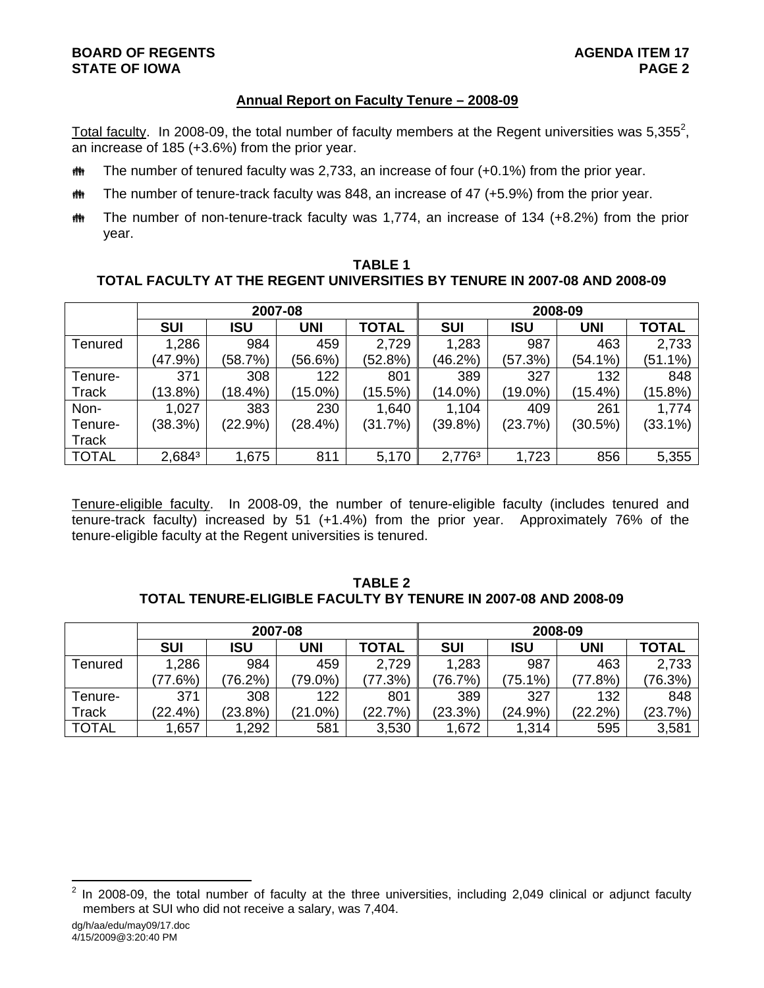# **BOARD OF REGENTS AGENUS EXAMPLE 20 AGENUS STATE OF IOWA** PAGE 2

# **Annual Report on Faculty Tenure – 2008-09**

Total faculty. In 2008-09, the total number of faculty members at the Regent universities was 5,355<sup>2</sup>, an increase of 185 (+3.6%) from the prior year.

- $m$  The number of tenured faculty was 2,733, an increase of four (+0.1%) from the prior year.
- $\ddot{\mathbf{m}}$  The number of tenure-track faculty was 848, an increase of 47 (+5.9%) from the prior year.
- the The number of non-tenure-track faculty was 1,774, an increase of 134 (+8.2%) from the prior year.

## **TABLE 1 TOTAL FACULTY AT THE REGENT UNIVERSITIES BY TENURE IN 2007-08 AND 2008-09**

|              |            | 2007-08    |            |              | 2008-09    |            |            |              |  |  |
|--------------|------------|------------|------------|--------------|------------|------------|------------|--------------|--|--|
|              | <b>SUI</b> | <b>ISU</b> | <b>UNI</b> | <b>TOTAL</b> | <b>SUI</b> | <b>ISU</b> | <b>UNI</b> | <b>TOTAL</b> |  |  |
| Tenured      | 1,286      | 984        | 459        | 2,729        | 1,283      | 987        | 463        | 2,733        |  |  |
|              | (47.9%)    | (58.7%)    | (56.6%)    | (52.8%)      | (46.2%)    | (57.3%)    | (54.1%)    | $(51.1\%)$   |  |  |
| Tenure-      | 371        | 308        | 122        | 801          | 389        | 327        | 132        | 848          |  |  |
| <b>Track</b> | $(13.8\%)$ | (18.4%)    | $(15.0\%)$ | (15.5%)      | $(14.0\%)$ | $(19.0\%)$ | (15.4%)    | (15.8%)      |  |  |
| Non-         | 1,027      | 383        | 230        | 1,640        | 1,104      | 409        | 261        | 1,774        |  |  |
| Tenure-      | (38.3%)    | $(22.9\%)$ | (28.4%)    | (31.7%)      | (39.8%)    | (23.7%)    | (30.5%)    | $(33.1\%)$   |  |  |
| <b>Track</b> |            |            |            |              |            |            |            |              |  |  |
| <b>TOTAL</b> | 2,6843     | 1,675      | 811        | 5,170        | 2,7763     | 1,723      | 856        | 5,355        |  |  |

Tenure-eligible faculty. In 2008-09, the number of tenure-eligible faculty (includes tenured and tenure-track faculty) increased by 51 (+1.4%) from the prior year. Approximately 76% of the tenure-eligible faculty at the Regent universities is tenured.

## **TABLE 2 TOTAL TENURE-ELIGIBLE FACULTY BY TENURE IN 2007-08 AND 2008-09**

|              |            | 2007-08    |            |              | 2008-09    |            |            |              |  |
|--------------|------------|------------|------------|--------------|------------|------------|------------|--------------|--|
|              | <b>SUI</b> | ISU        | UNI        | <b>TOTAL</b> | <b>SUI</b> | ISU        | <b>UNI</b> | <b>TOTAL</b> |  |
| Tenured      | 1,286      | 984        | 459        | 2,729        | 1,283      | 987        | 463        | 2,733        |  |
|              | $77.6\%$   | $(76.2\%)$ | $79.0\%$   | 77.3%        | (76.7%)    | $(75.1\%)$ | (77.8%)    | (76.3%)      |  |
| Tenure-      | 371        | 308        | 122        | 801          | 389        | 327        | 132        | 848          |  |
| Track        | (22.4%)    | (23.8%)    | $(21.0\%)$ | (22.7%)      | (23.3%)    | (24.9%)    | $(22.2\%)$ | (23.7%)      |  |
| <b>TOTAL</b> | ,657       | 1,292      | 581        | 3,530        | 1,672      | 1,314      | 595        | 3,581        |  |

 $\frac{1}{2}$  In 2008-09, the total number of faculty at the three universities, including 2,049 clinical or adjunct faculty members at SUI who did not receive a salary, was 7,404.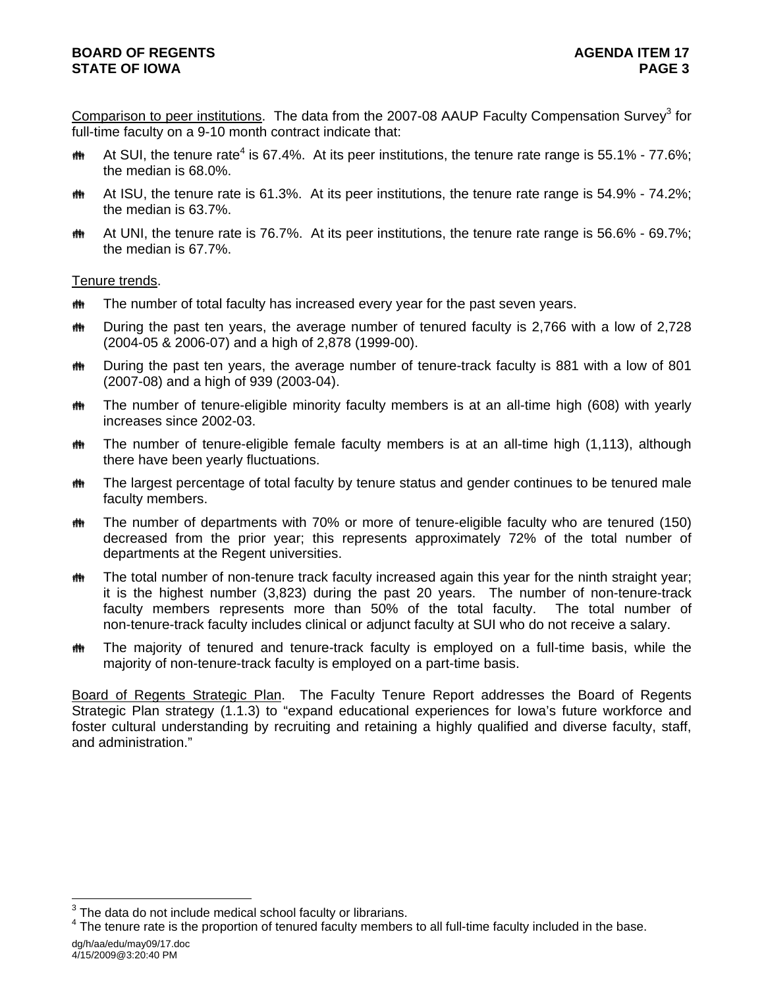Comparison to peer institutions. The data from the 2007-08 AAUP Faculty Compensation Survey<sup>3</sup> for full-time faculty on a 9-10 month contract indicate that:

- **#\*** At SUI, the tenure rate<sup>4</sup> is 67.4%. At its peer institutions, the tenure rate range is 55.1% 77.6%; the median is 68.0%.
- $m$  At ISU, the tenure rate is 61.3%. At its peer institutions, the tenure rate range is 54.9% 74.2%; the median is 63.7%.
- $m$  At UNI, the tenure rate is 76.7%. At its peer institutions, the tenure rate range is 56.6% 69.7%; the median is 67.7%.

Tenure trends.

- $m$  The number of total faculty has increased every year for the past seven years.
- $m$  During the past ten years, the average number of tenured faculty is 2,766 with a low of 2,728 (2004-05 & 2006-07) and a high of 2,878 (1999-00).
- $\ddot{\mathbf{m}}$  During the past ten years, the average number of tenure-track faculty is 881 with a low of 801 (2007-08) and a high of 939 (2003-04).
- $\ddot{\mathbf{m}}$  The number of tenure-eligible minority faculty members is at an all-time high (608) with yearly increases since 2002-03.
- $\bf{m}$  The number of tenure-eligible female faculty members is at an all-time high (1,113), although there have been yearly fluctuations.
- $m$  The largest percentage of total faculty by tenure status and gender continues to be tenured male faculty members.
- $\ddot{\mathbf{m}}$  The number of departments with 70% or more of tenure-eligible faculty who are tenured (150) decreased from the prior year; this represents approximately 72% of the total number of departments at the Regent universities.
- $m$  The total number of non-tenure track faculty increased again this year for the ninth straight year; it is the highest number (3,823) during the past 20 years. The number of non-tenure-track faculty members represents more than 50% of the total faculty. The total number of non-tenure-track faculty includes clinical or adjunct faculty at SUI who do not receive a salary.
- $m$  The majority of tenured and tenure-track faculty is employed on a full-time basis, while the majority of non-tenure-track faculty is employed on a part-time basis.

Board of Regents Strategic Plan. The Faculty Tenure Report addresses the Board of Regents Strategic Plan strategy (1.1.3) to "expand educational experiences for Iowa's future workforce and foster cultural understanding by recruiting and retaining a highly qualified and diverse faculty, staff, and administration."

l

 $3$  The data do not include medical school faculty or librarians.

dg/h/aa/edu/may09/17.doc  $4$  The tenure rate is the proportion of tenured faculty members to all full-time faculty included in the base.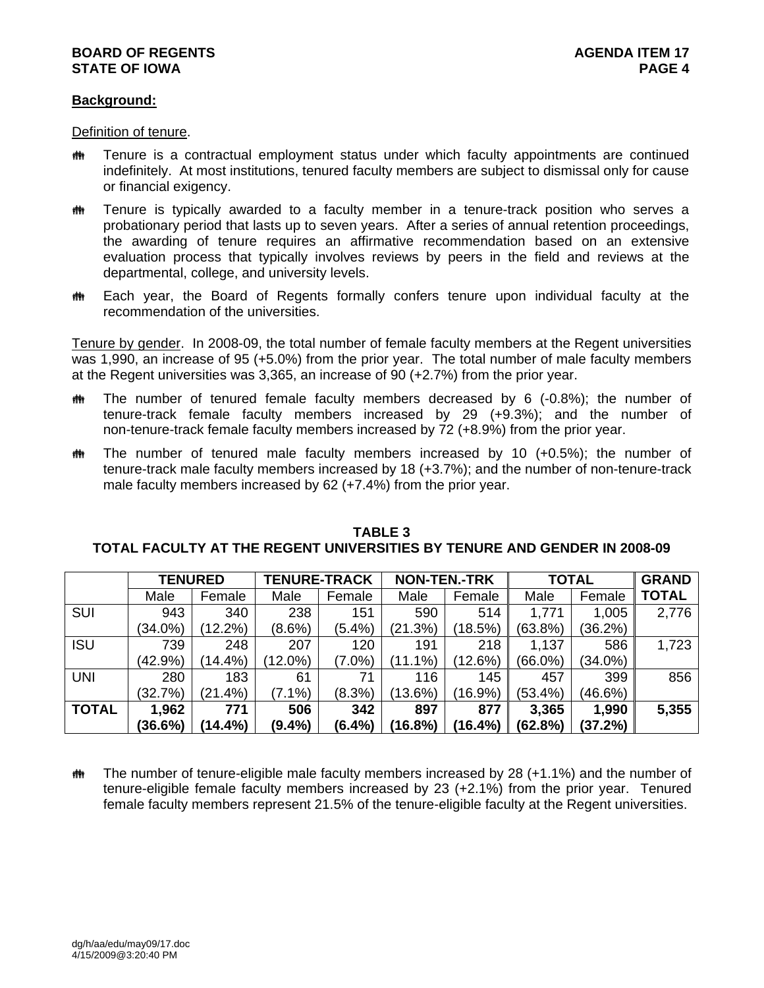# **BOARD OF REGENTS AGENERAL LIGHT AGENDA ITEM 17 STATE OF IOWA** PAGE 4

## **Background:**

Definition of tenure.

- $m$  Tenure is a contractual employment status under which faculty appointments are continued indefinitely. At most institutions, tenured faculty members are subject to dismissal only for cause or financial exigency.
- $m$  Tenure is typically awarded to a faculty member in a tenure-track position who serves a probationary period that lasts up to seven years. After a series of annual retention proceedings, the awarding of tenure requires an affirmative recommendation based on an extensive evaluation process that typically involves reviews by peers in the field and reviews at the departmental, college, and university levels.
- $m$  Each year, the Board of Regents formally confers tenure upon individual faculty at the recommendation of the universities.

Tenure by gender. In 2008-09, the total number of female faculty members at the Regent universities was 1,990, an increase of 95 (+5.0%) from the prior year. The total number of male faculty members at the Regent universities was 3,365, an increase of 90 (+2.7%) from the prior year.

- $m$  The number of tenured female faculty members decreased by 6 (-0.8%); the number of tenure-track female faculty members increased by 29 (+9.3%); and the number of non-tenure-track female faculty members increased by 72 (+8.9%) from the prior year.
- $m$  The number of tenured male faculty members increased by 10 (+0.5%); the number of tenure-track male faculty members increased by 18 (+3.7%); and the number of non-tenure-track male faculty members increased by 62 (+7.4%) from the prior year.

|              | <b>TENURED</b> |            |            | <b>TENURE-TRACK</b> |            | <b>NON-TEN.-TRK</b> |         | <b>TOTAL</b> |              |
|--------------|----------------|------------|------------|---------------------|------------|---------------------|---------|--------------|--------------|
|              | Male           | Female     | Male       | Female              | Male       | Female              | Male    | Female       | <b>TOTAL</b> |
| <b>SUI</b>   | 943            | 340        | 238        | 151                 | 590        | 514                 | 1,771   | 1,005        | 2,776        |
|              | $(34.0\%)$     | $(12.2\%)$ | $(8.6\%)$  | $(5.4\%)$           | (21.3%)    | (18.5%)             | (63.8%) | (36.2%)      |              |
| <b>ISU</b>   | 739            | 248        | 207        | 120                 | 191        | 218                 | 1,137   | 586          | 1,723        |
|              | (42.9%)        | $(14.4\%)$ | $(12.0\%)$ | $(7.0\%)$           | $(11.1\%)$ | (12.6%)             | (66.0%) | $(34.0\%)$   |              |
| <b>UNI</b>   | 280            | 183        | 61         | 71                  | 116        | 145                 | 457     | 399          | 856          |
|              | (32.7%)        | $(21.4\%)$ | $(7.1\%)$  | $(8.3\%)$           | (13.6%)    | $(16.9\%)$          | (53.4%) | (46.6%)      |              |
| <b>TOTAL</b> | 1,962          | 771        | 506        | 342                 | 897        | 877                 | 3,365   | 1,990        | 5,355        |
|              | (36.6%)        | $(14.4\%)$ | $(9.4\%)$  | (6.4%)              | (16.8%)    | (16.4%)             | (62.8%) | (37.2%)      |              |

## **TABLE 3 TOTAL FACULTY AT THE REGENT UNIVERSITIES BY TENURE AND GENDER IN 2008-09**

 $m$  The number of tenure-eligible male faculty members increased by 28 (+1.1%) and the number of tenure-eligible female faculty members increased by 23 (+2.1%) from the prior year. Tenured female faculty members represent 21.5% of the tenure-eligible faculty at the Regent universities.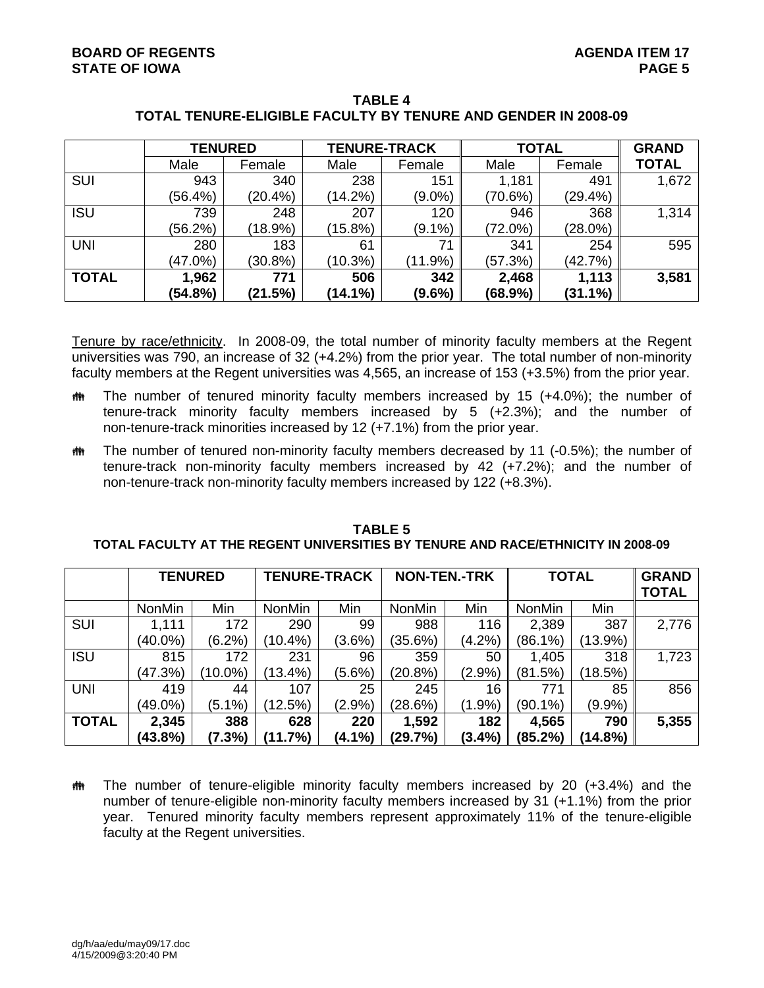|              | <b>TENURED</b> |            |            | <b>TENURE-TRACK</b> |            | <b>TOTAL</b> | <b>GRAND</b> |
|--------------|----------------|------------|------------|---------------------|------------|--------------|--------------|
|              | Male           | Female     | Male       | Female              | Male       | Female       | <b>TOTAL</b> |
| <b>SUI</b>   | 943            | 340        | 238        | 151                 | 1,181      | 491          | 1,672        |
|              | (56.4%)        | $(20.4\%)$ | $(14.2\%)$ | $(9.0\%)$           | (70.6%)    | $(29.4\%)$   |              |
| <b>ISU</b>   | 739            | 248        | 207        | 120                 | 946        | 368          | 1,314        |
|              | (56.2%)        | $(18.9\%)$ | (15.8%)    | $(9.1\%)$           | $(72.0\%)$ | $(28.0\%)$   |              |
| <b>UNI</b>   | 280            | 183        | 61         | 71                  | 341        | 254          | 595          |
|              | $(47.0\%)$     | $(30.8\%)$ | $(10.3\%)$ | $(11.9\%)$          | (57.3%)    | (42.7%)      |              |
| <b>TOTAL</b> | 1,962          | 771        | 506        | 342                 | 2,468      | 1,113        | 3,581        |
|              | (54.8%)        | (21.5%)    | $(14.1\%)$ | $(9.6\%)$           | (68.9%)    | $(31.1\%)$   |              |

# **TABLE 4 TOTAL TENURE-ELIGIBLE FACULTY BY TENURE AND GENDER IN 2008-09**

Tenure by race/ethnicity. In 2008-09, the total number of minority faculty members at the Regent universities was 790, an increase of 32 (+4.2%) from the prior year. The total number of non-minority faculty members at the Regent universities was 4,565, an increase of 153 (+3.5%) from the prior year.

- $m$  The number of tenured minority faculty members increased by 15 (+4.0%); the number of tenure-track minority faculty members increased by 5 (+2.3%); and the number of non-tenure-track minorities increased by 12 (+7.1%) from the prior year.
- $m$  The number of tenured non-minority faculty members decreased by 11 (-0.5%); the number of tenure-track non-minority faculty members increased by 42 (+7.2%); and the number of non-tenure-track non-minority faculty members increased by 122 (+8.3%).

|              | <b>TENURED</b> |           | <b>TENURE-TRACK</b> |           | <b>NON-TEN.-TRK</b> |           | <b>TOTAL</b>  |         | <b>GRAND</b><br><b>TOTAL</b> |
|--------------|----------------|-----------|---------------------|-----------|---------------------|-----------|---------------|---------|------------------------------|
|              | <b>NonMin</b>  | Min       | NonMin              | Min       | <b>NonMin</b>       | Min       | <b>NonMin</b> | Min     |                              |
| SUI          | 1,111          | 172       | 290                 | 99        | 988                 | 116       | 2,389         | 387     | 2,776                        |
|              | (40.0%)        | $(6.2\%)$ | (10.4%)             | $(3.6\%)$ | $(35.6\%)$          | (4.2%)    | (86.1%)       | (13.9%) |                              |
| <b>ISU</b>   | 815            | 172       | 231                 | 96        | 359                 | 50        | 1,405         | 318     | 1,723                        |
|              | (47.3%)        | (10.0%)   | (13.4%)             | (5.6%)    | (20.8%)             | (2.9%)    | (81.5%)       | (18.5%) |                              |
| <b>UNI</b>   | 419            | 44        | 107                 | 25        | 245                 | 16        | 771           | 85      | 856                          |
|              | $(49.0\%)$     | (5.1%)    | (12.5%)             | (2.9%)    | (28.6%)             | (1.9%     | $(90.1\%)$    | (9.9%)  |                              |
| <b>TOTAL</b> | 2,345          | 388       | 628                 | 220       | 1,592               | 182       | 4,565         | 790     | 5,355                        |
|              | (43.8%)        | (7.3%)    | (11.7%)             | $(4.1\%)$ | (29.7%)             | $(3.4\%)$ | (85.2%)       | (14.8%) |                              |

**TABLE 5 TOTAL FACULTY AT THE REGENT UNIVERSITIES BY TENURE AND RACE/ETHNICITY IN 2008-09** 

 $\ddot{\mathbf{m}}$  The number of tenure-eligible minority faculty members increased by 20 (+3.4%) and the number of tenure-eligible non-minority faculty members increased by 31 (+1.1%) from the prior year. Tenured minority faculty members represent approximately 11% of the tenure-eligible faculty at the Regent universities.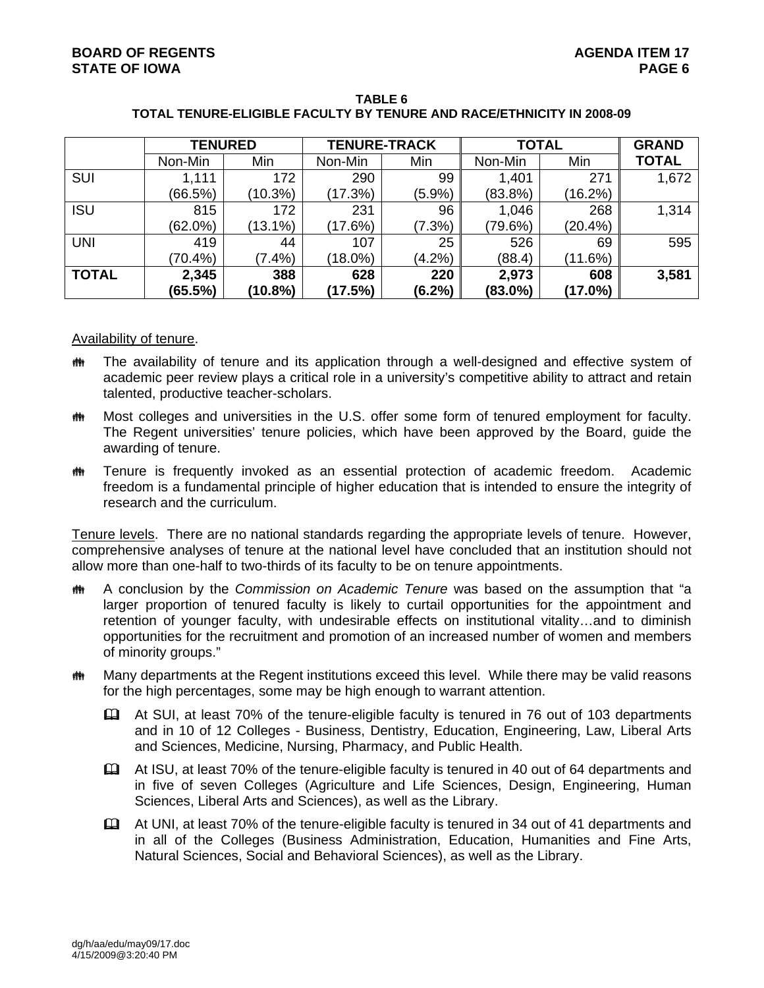|              | <b>TENURED</b> |            | <b>TENURE-TRACK</b> |           | <b>TOTAL</b> |            | <b>GRAND</b> |
|--------------|----------------|------------|---------------------|-----------|--------------|------------|--------------|
|              | Non-Min        | Min        | Non-Min             | Min       | Non-Min      | Min        | <b>TOTAL</b> |
| SUI          | 1,111          | 172        | 290                 | 99        | 1,401        | 271        | 1,672        |
|              | (66.5%)        | $(10.3\%)$ | (17.3%)             | $(5.9\%)$ | (83.8%)      | (16.2%)    |              |
| <b>ISU</b>   | 815            | 172        | 231                 | 96        | 1,046        | 268        | 1,314        |
|              | $(62.0\%)$     | $(13.1\%)$ | (17.6%)             | $(7.3\%)$ | (79.6%)      | $(20.4\%)$ |              |
| <b>UNI</b>   | 419            | 44         | 107                 | 25        | 526          | 69         | 595          |
|              | $(70.4\%)$     | $(7.4\%)$  | $(18.0\%)$          | (4.2%)    | (88.4)       | (11.6%)    |              |
| <b>TOTAL</b> | 2,345          | 388        | 628                 | 220       | 2,973        | 608        | 3,581        |
|              | (65.5%)        | (10.8%)    | (17.5%)             | $(6.2\%)$ | $(83.0\%)$   | $(17.0\%)$ |              |

**TABLE 6 TOTAL TENURE-ELIGIBLE FACULTY BY TENURE AND RACE/ETHNICITY IN 2008-09** 

### Availability of tenure.

- $m$  The availability of tenure and its application through a well-designed and effective system of academic peer review plays a critical role in a university's competitive ability to attract and retain talented, productive teacher-scholars.
- $m$  Most colleges and universities in the U.S. offer some form of tenured employment for faculty. The Regent universities' tenure policies, which have been approved by the Board, guide the awarding of tenure.
- **\*\*** Tenure is frequently invoked as an essential protection of academic freedom. Academic freedom is a fundamental principle of higher education that is intended to ensure the integrity of research and the curriculum.

Tenure levels. There are no national standards regarding the appropriate levels of tenure. However, comprehensive analyses of tenure at the national level have concluded that an institution should not allow more than one-half to two-thirds of its faculty to be on tenure appointments.

- **th** A conclusion by the *Commission on Academic Tenure* was based on the assumption that "a larger proportion of tenured faculty is likely to curtail opportunities for the appointment and retention of younger faculty, with undesirable effects on institutional vitality…and to diminish opportunities for the recruitment and promotion of an increased number of women and members of minority groups."
- $m$  Many departments at the Regent institutions exceed this level. While there may be valid reasons for the high percentages, some may be high enough to warrant attention.
	- At SUI, at least 70% of the tenure-eligible faculty is tenured in 76 out of 103 departments and in 10 of 12 Colleges - Business, Dentistry, Education, Engineering, Law, Liberal Arts and Sciences, Medicine, Nursing, Pharmacy, and Public Health.
	- At ISU, at least 70% of the tenure-eligible faculty is tenured in 40 out of 64 departments and in five of seven Colleges (Agriculture and Life Sciences, Design, Engineering, Human Sciences, Liberal Arts and Sciences), as well as the Library.
	- At UNI, at least 70% of the tenure-eligible faculty is tenured in 34 out of 41 departments and in all of the Colleges (Business Administration, Education, Humanities and Fine Arts, Natural Sciences, Social and Behavioral Sciences), as well as the Library.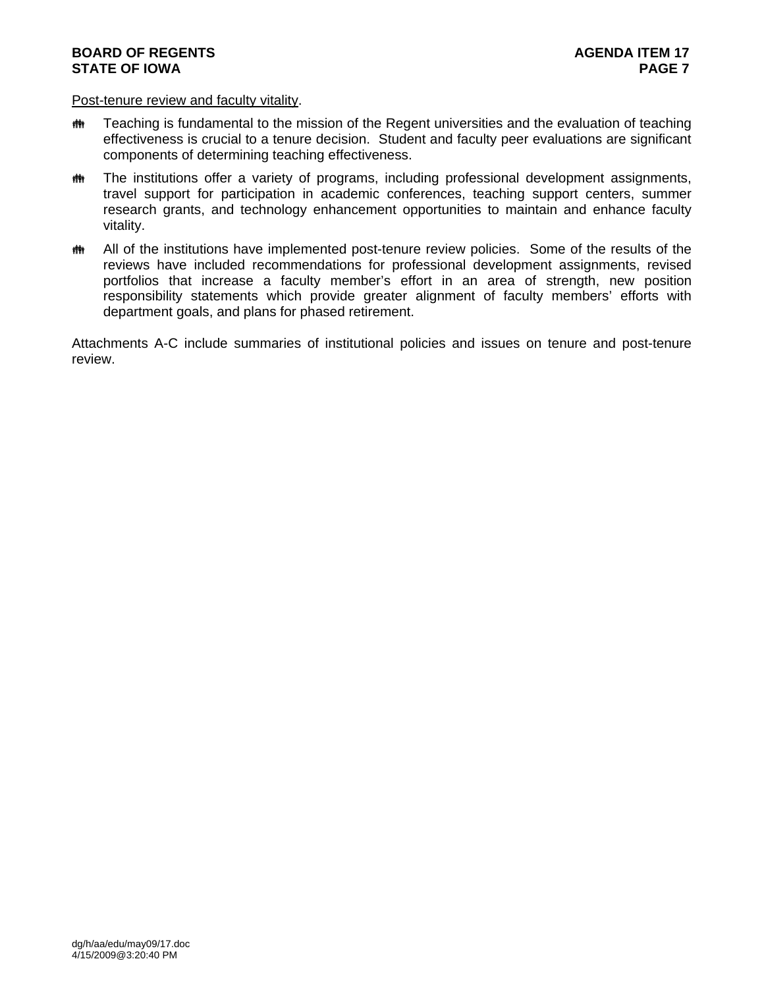## **BOARD OF REGENTS AGENUS AGENDA ITEM** 17 **STATE OF IOWA** PAGE 7

### Post-tenure review and faculty vitality.

- **\*\*\*** Teaching is fundamental to the mission of the Regent universities and the evaluation of teaching effectiveness is crucial to a tenure decision. Student and faculty peer evaluations are significant components of determining teaching effectiveness.
- the The institutions offer a variety of programs, including professional development assignments, travel support for participation in academic conferences, teaching support centers, summer research grants, and technology enhancement opportunities to maintain and enhance faculty vitality.
- **\*\*** All of the institutions have implemented post-tenure review policies. Some of the results of the reviews have included recommendations for professional development assignments, revised portfolios that increase a faculty member's effort in an area of strength, new position responsibility statements which provide greater alignment of faculty members' efforts with department goals, and plans for phased retirement.

Attachments A-C include summaries of institutional policies and issues on tenure and post-tenure review.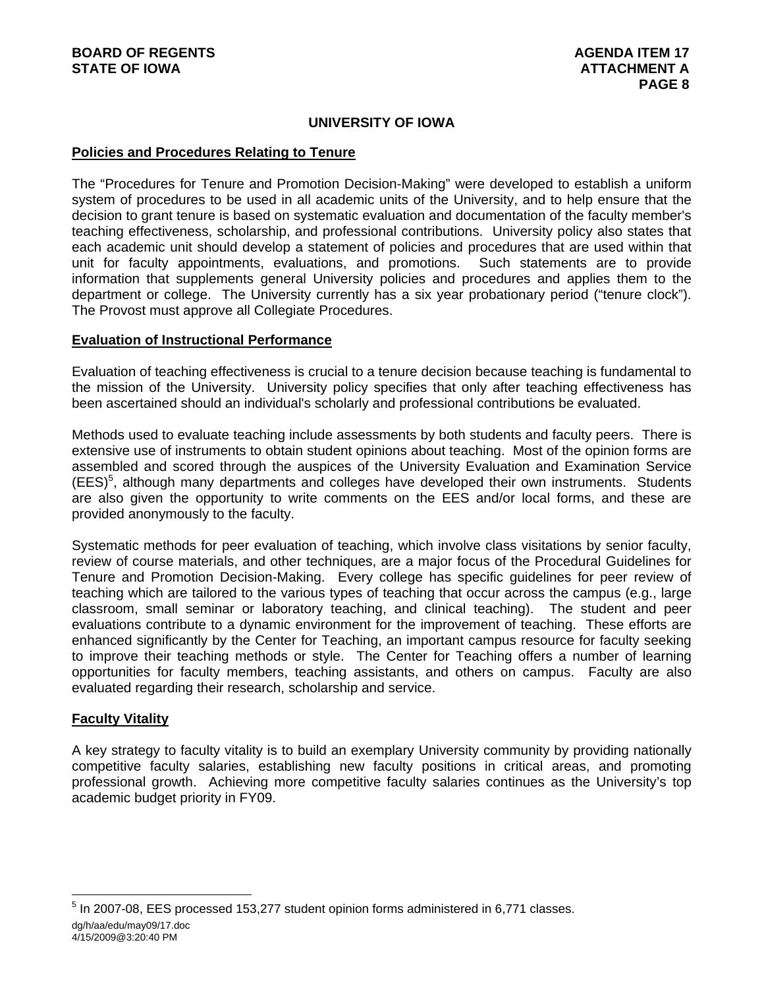# **UNIVERSITY OF IOWA**

## **Policies and Procedures Relating to Tenure**

The "Procedures for Tenure and Promotion Decision-Making" were developed to establish a uniform system of procedures to be used in all academic units of the University, and to help ensure that the decision to grant tenure is based on systematic evaluation and documentation of the faculty member's teaching effectiveness, scholarship, and professional contributions. University policy also states that each academic unit should develop a statement of policies and procedures that are used within that unit for faculty appointments, evaluations, and promotions. Such statements are to provide information that supplements general University policies and procedures and applies them to the department or college. The University currently has a six year probationary period ("tenure clock"). The Provost must approve all Collegiate Procedures.

## **Evaluation of Instructional Performance**

Evaluation of teaching effectiveness is crucial to a tenure decision because teaching is fundamental to the mission of the University. University policy specifies that only after teaching effectiveness has been ascertained should an individual's scholarly and professional contributions be evaluated.

Methods used to evaluate teaching include assessments by both students and faculty peers. There is extensive use of instruments to obtain student opinions about teaching. Most of the opinion forms are assembled and scored through the auspices of the University Evaluation and Examination Service (EES)<sup>5</sup>, although many departments and colleges have developed their own instruments. Students are also given the opportunity to write comments on the EES and/or local forms, and these are provided anonymously to the faculty.

Systematic methods for peer evaluation of teaching, which involve class visitations by senior faculty, review of course materials, and other techniques, are a major focus of the Procedural Guidelines for Tenure and Promotion Decision-Making. Every college has specific guidelines for peer review of teaching which are tailored to the various types of teaching that occur across the campus (e.g., large classroom, small seminar or laboratory teaching, and clinical teaching). The student and peer evaluations contribute to a dynamic environment for the improvement of teaching. These efforts are enhanced significantly by the Center for Teaching, an important campus resource for faculty seeking to improve their teaching methods or style. The Center for Teaching offers a number of learning opportunities for faculty members, teaching assistants, and others on campus. Faculty are also evaluated regarding their research, scholarship and service.

# **Faculty Vitality**

l

A key strategy to faculty vitality is to build an exemplary University community by providing nationally competitive faculty salaries, establishing new faculty positions in critical areas, and promoting professional growth. Achieving more competitive faculty salaries continues as the University's top academic budget priority in FY09.

dg/h/aa/edu/may09/17.doc 4/15/2009@3:20:40 PM <sup>5</sup> In 2007-08, EES processed 153,277 student opinion forms administered in 6,771 classes.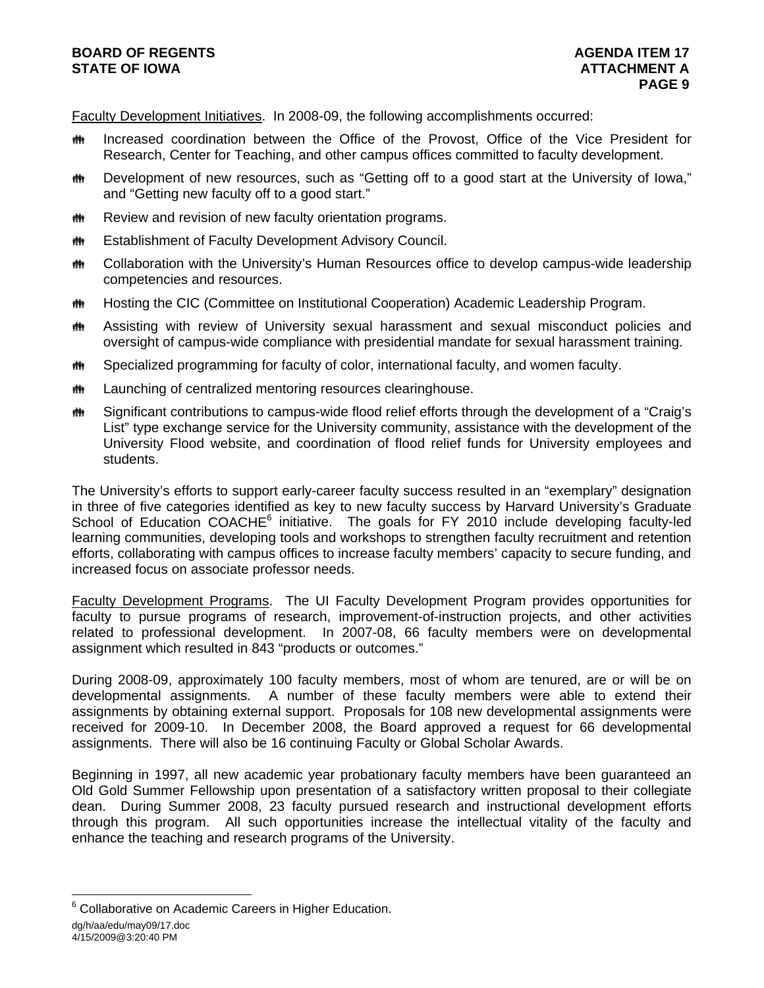# **BOARD OF REGENTS AGENERAL LIGHT AGENDA ITEM 17 STATE OF IOWA** ATTACHMENT A

Faculty Development Initiatives. In 2008-09, the following accomplishments occurred:

- **\*\*** Increased coordination between the Office of the Provost, Office of the Vice President for Research, Center for Teaching, and other campus offices committed to faculty development.
- the Development of new resources, such as "Getting off to a good start at the University of Iowa," and "Getting new faculty off to a good start."
- **\*\*\*** Review and revision of new faculty orientation programs.
- **# Establishment of Faculty Development Advisory Council.**
- **\*\*\*** Collaboration with the University's Human Resources office to develop campus-wide leadership competencies and resources.
- **\*\*\*** Hosting the CIC (Committee on Institutional Cooperation) Academic Leadership Program.
- **##** Assisting with review of University sexual harassment and sexual misconduct policies and oversight of campus-wide compliance with presidential mandate for sexual harassment training.
- $\bullet$  Specialized programming for faculty of color, international faculty, and women faculty.
- **\*\*\*** Launching of centralized mentoring resources clearinghouse.
- **\*\*\*** Significant contributions to campus-wide flood relief efforts through the development of a "Craig's List" type exchange service for the University community, assistance with the development of the University Flood website, and coordination of flood relief funds for University employees and students.

The University's efforts to support early-career faculty success resulted in an "exemplary" designation in three of five categories identified as key to new faculty success by Harvard University's Graduate School of Education COACHE<sup>6</sup> initiative. The goals for FY 2010 include developing faculty-led learning communities, developing tools and workshops to strengthen faculty recruitment and retention efforts, collaborating with campus offices to increase faculty members' capacity to secure funding, and increased focus on associate professor needs.

Faculty Development Programs. The UI Faculty Development Program provides opportunities for faculty to pursue programs of research, improvement-of-instruction projects, and other activities related to professional development. In 2007-08, 66 faculty members were on developmental assignment which resulted in 843 "products or outcomes."

During 2008-09, approximately 100 faculty members, most of whom are tenured, are or will be on developmental assignments. A number of these faculty members were able to extend their assignments by obtaining external support. Proposals for 108 new developmental assignments were received for 2009-10. In December 2008, the Board approved a request for 66 developmental assignments. There will also be 16 continuing Faculty or Global Scholar Awards.

Beginning in 1997, all new academic year probationary faculty members have been guaranteed an Old Gold Summer Fellowship upon presentation of a satisfactory written proposal to their collegiate dean. During Summer 2008, 23 faculty pursued research and instructional development efforts through this program. All such opportunities increase the intellectual vitality of the faculty and enhance the teaching and research programs of the University.

l

<sup>&</sup>lt;sup>6</sup> Collaborative on Academic Careers in Higher Education.

dg/h/aa/edu/may09/17.doc

<sup>4/15/2009@3:20:40</sup> PM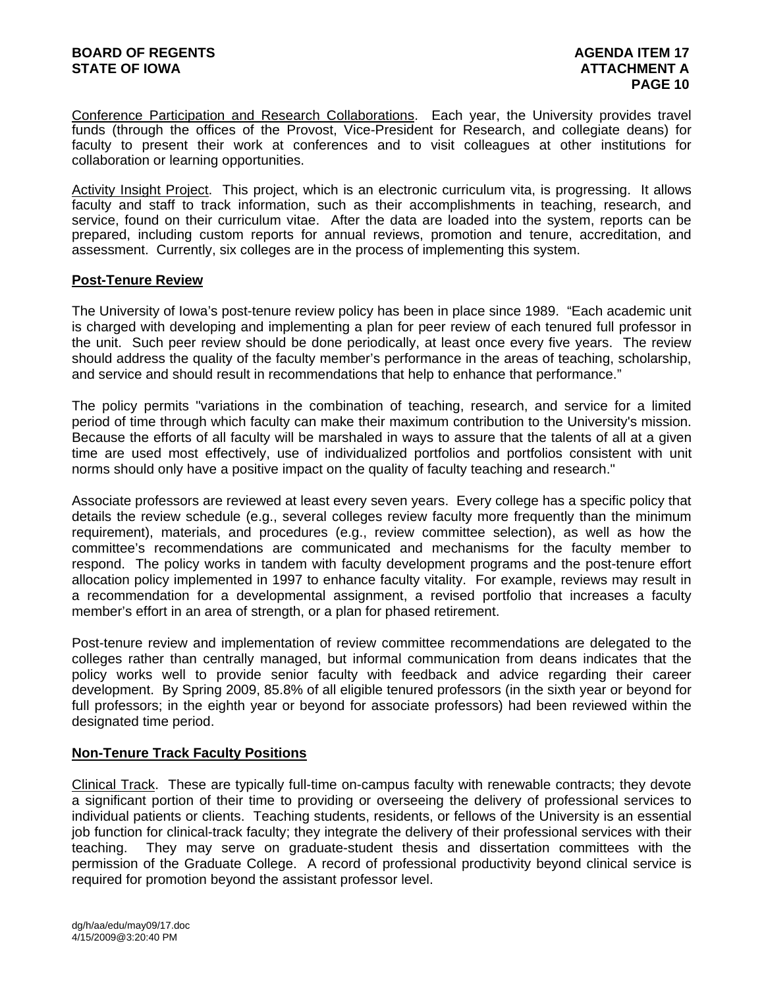Conference Participation and Research Collaborations. Each year, the University provides travel funds (through the offices of the Provost, Vice-President for Research, and collegiate deans) for faculty to present their work at conferences and to visit colleagues at other institutions for collaboration or learning opportunities.

Activity Insight Project. This project, which is an electronic curriculum vita, is progressing. It allows faculty and staff to track information, such as their accomplishments in teaching, research, and service, found on their curriculum vitae. After the data are loaded into the system, reports can be prepared, including custom reports for annual reviews, promotion and tenure, accreditation, and assessment. Currently, six colleges are in the process of implementing this system.

## **Post-Tenure Review**

The University of Iowa's post-tenure review policy has been in place since 1989. "Each academic unit is charged with developing and implementing a plan for peer review of each tenured full professor in the unit. Such peer review should be done periodically, at least once every five years. The review should address the quality of the faculty member's performance in the areas of teaching, scholarship, and service and should result in recommendations that help to enhance that performance."

The policy permits "variations in the combination of teaching, research, and service for a limited period of time through which faculty can make their maximum contribution to the University's mission. Because the efforts of all faculty will be marshaled in ways to assure that the talents of all at a given time are used most effectively, use of individualized portfolios and portfolios consistent with unit norms should only have a positive impact on the quality of faculty teaching and research."

Associate professors are reviewed at least every seven years. Every college has a specific policy that details the review schedule (e.g., several colleges review faculty more frequently than the minimum requirement), materials, and procedures (e.g., review committee selection), as well as how the committee's recommendations are communicated and mechanisms for the faculty member to respond. The policy works in tandem with faculty development programs and the post-tenure effort allocation policy implemented in 1997 to enhance faculty vitality. For example, reviews may result in a recommendation for a developmental assignment, a revised portfolio that increases a faculty member's effort in an area of strength, or a plan for phased retirement.

Post-tenure review and implementation of review committee recommendations are delegated to the colleges rather than centrally managed, but informal communication from deans indicates that the policy works well to provide senior faculty with feedback and advice regarding their career development. By Spring 2009, 85.8% of all eligible tenured professors (in the sixth year or beyond for full professors; in the eighth year or beyond for associate professors) had been reviewed within the designated time period.

# **Non-Tenure Track Faculty Positions**

Clinical Track. These are typically full-time on-campus faculty with renewable contracts; they devote a significant portion of their time to providing or overseeing the delivery of professional services to individual patients or clients. Teaching students, residents, or fellows of the University is an essential job function for clinical-track faculty; they integrate the delivery of their professional services with their teaching. They may serve on graduate-student thesis and dissertation committees with the permission of the Graduate College. A record of professional productivity beyond clinical service is required for promotion beyond the assistant professor level.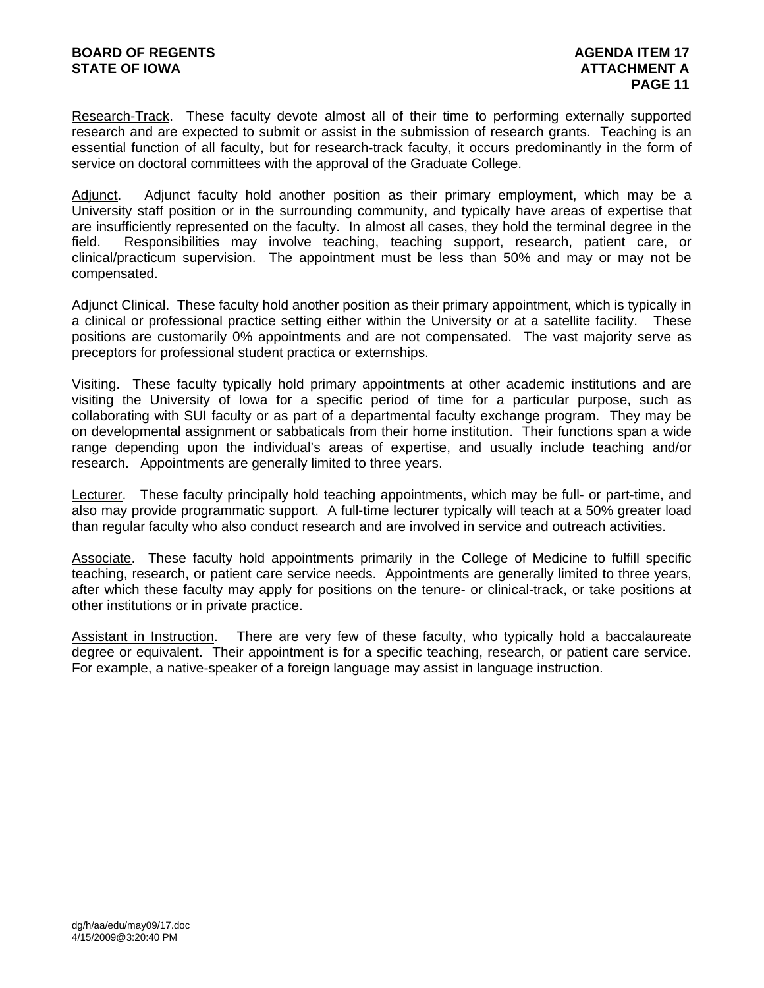Research-Track. These faculty devote almost all of their time to performing externally supported research and are expected to submit or assist in the submission of research grants. Teaching is an essential function of all faculty, but for research-track faculty, it occurs predominantly in the form of service on doctoral committees with the approval of the Graduate College.

Adjunct. Adjunct faculty hold another position as their primary employment, which may be a University staff position or in the surrounding community, and typically have areas of expertise that are insufficiently represented on the faculty. In almost all cases, they hold the terminal degree in the field. Responsibilities may involve teaching, teaching support, research, patient care, or clinical/practicum supervision. The appointment must be less than 50% and may or may not be compensated.

Adjunct Clinical. These faculty hold another position as their primary appointment, which is typically in a clinical or professional practice setting either within the University or at a satellite facility. These positions are customarily 0% appointments and are not compensated. The vast majority serve as preceptors for professional student practica or externships.

Visiting. These faculty typically hold primary appointments at other academic institutions and are visiting the University of Iowa for a specific period of time for a particular purpose, such as collaborating with SUI faculty or as part of a departmental faculty exchange program. They may be on developmental assignment or sabbaticals from their home institution. Their functions span a wide range depending upon the individual's areas of expertise, and usually include teaching and/or research. Appointments are generally limited to three years.

Lecturer. These faculty principally hold teaching appointments, which may be full- or part-time, and also may provide programmatic support. A full-time lecturer typically will teach at a 50% greater load than regular faculty who also conduct research and are involved in service and outreach activities.

Associate. These faculty hold appointments primarily in the College of Medicine to fulfill specific teaching, research, or patient care service needs. Appointments are generally limited to three years, after which these faculty may apply for positions on the tenure- or clinical-track, or take positions at other institutions or in private practice.

Assistant in Instruction. There are very few of these faculty, who typically hold a baccalaureate degree or equivalent. Their appointment is for a specific teaching, research, or patient care service. For example, a native-speaker of a foreign language may assist in language instruction.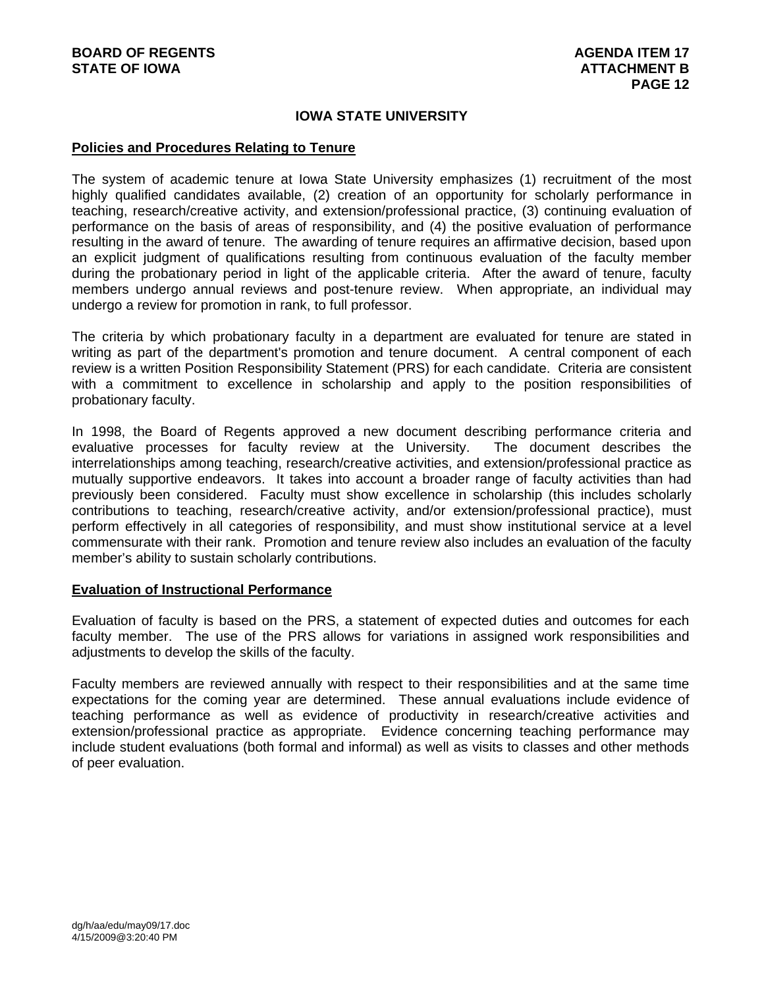## **IOWA STATE UNIVERSITY**

### **Policies and Procedures Relating to Tenure**

The system of academic tenure at Iowa State University emphasizes (1) recruitment of the most highly qualified candidates available, (2) creation of an opportunity for scholarly performance in teaching, research/creative activity, and extension/professional practice, (3) continuing evaluation of performance on the basis of areas of responsibility, and (4) the positive evaluation of performance resulting in the award of tenure. The awarding of tenure requires an affirmative decision, based upon an explicit judgment of qualifications resulting from continuous evaluation of the faculty member during the probationary period in light of the applicable criteria. After the award of tenure, faculty members undergo annual reviews and post-tenure review. When appropriate, an individual may undergo a review for promotion in rank, to full professor.

The criteria by which probationary faculty in a department are evaluated for tenure are stated in writing as part of the department's promotion and tenure document. A central component of each review is a written Position Responsibility Statement (PRS) for each candidate. Criteria are consistent with a commitment to excellence in scholarship and apply to the position responsibilities of probationary faculty.

In 1998, the Board of Regents approved a new document describing performance criteria and evaluative processes for faculty review at the University. The document describes the interrelationships among teaching, research/creative activities, and extension/professional practice as mutually supportive endeavors. It takes into account a broader range of faculty activities than had previously been considered. Faculty must show excellence in scholarship (this includes scholarly contributions to teaching, research/creative activity, and/or extension/professional practice), must perform effectively in all categories of responsibility, and must show institutional service at a level commensurate with their rank. Promotion and tenure review also includes an evaluation of the faculty member's ability to sustain scholarly contributions.

#### **Evaluation of Instructional Performance**

Evaluation of faculty is based on the PRS, a statement of expected duties and outcomes for each faculty member. The use of the PRS allows for variations in assigned work responsibilities and adjustments to develop the skills of the faculty.

Faculty members are reviewed annually with respect to their responsibilities and at the same time expectations for the coming year are determined. These annual evaluations include evidence of teaching performance as well as evidence of productivity in research/creative activities and extension/professional practice as appropriate. Evidence concerning teaching performance may include student evaluations (both formal and informal) as well as visits to classes and other methods of peer evaluation.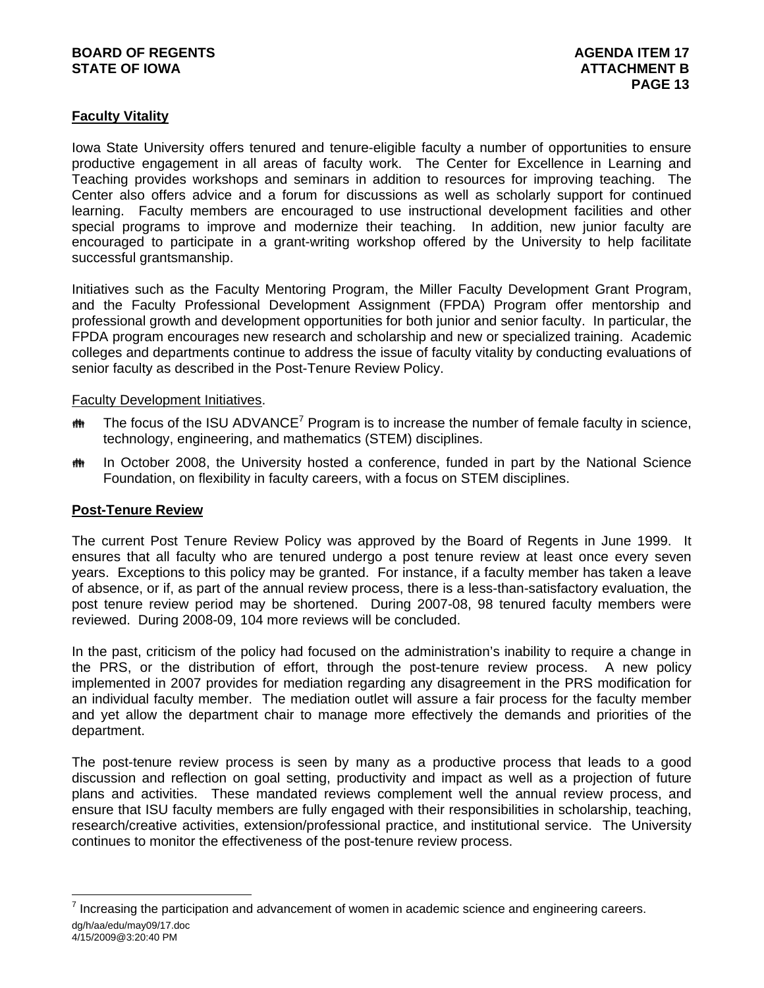# **BOARD OF REGENTS** AGENUS AGENDA ITEM 17 **STATE OF IOWA** AND **ATTACHMENT B**

# **Faculty Vitality**

Iowa State University offers tenured and tenure-eligible faculty a number of opportunities to ensure productive engagement in all areas of faculty work. The Center for Excellence in Learning and Teaching provides workshops and seminars in addition to resources for improving teaching. The Center also offers advice and a forum for discussions as well as scholarly support for continued learning. Faculty members are encouraged to use instructional development facilities and other special programs to improve and modernize their teaching. In addition, new junior faculty are encouraged to participate in a grant-writing workshop offered by the University to help facilitate successful grantsmanship.

Initiatives such as the Faculty Mentoring Program, the Miller Faculty Development Grant Program, and the Faculty Professional Development Assignment (FPDA) Program offer mentorship and professional growth and development opportunities for both junior and senior faculty. In particular, the FPDA program encourages new research and scholarship and new or specialized training. Academic colleges and departments continue to address the issue of faculty vitality by conducting evaluations of senior faculty as described in the Post-Tenure Review Policy.

## Faculty Development Initiatives.

- $m$  The focus of the ISU ADVANCE<sup>7</sup> Program is to increase the number of female faculty in science, technology, engineering, and mathematics (STEM) disciplines.
- $m$  In October 2008, the University hosted a conference, funded in part by the National Science Foundation, on flexibility in faculty careers, with a focus on STEM disciplines.

## **Post-Tenure Review**

l

The current Post Tenure Review Policy was approved by the Board of Regents in June 1999. It ensures that all faculty who are tenured undergo a post tenure review at least once every seven years. Exceptions to this policy may be granted. For instance, if a faculty member has taken a leave of absence, or if, as part of the annual review process, there is a less-than-satisfactory evaluation, the post tenure review period may be shortened. During 2007-08, 98 tenured faculty members were reviewed. During 2008-09, 104 more reviews will be concluded.

In the past, criticism of the policy had focused on the administration's inability to require a change in the PRS, or the distribution of effort, through the post-tenure review process. A new policy implemented in 2007 provides for mediation regarding any disagreement in the PRS modification for an individual faculty member. The mediation outlet will assure a fair process for the faculty member and yet allow the department chair to manage more effectively the demands and priorities of the department.

The post-tenure review process is seen by many as a productive process that leads to a good discussion and reflection on goal setting, productivity and impact as well as a projection of future plans and activities. These mandated reviews complement well the annual review process, and ensure that ISU faculty members are fully engaged with their responsibilities in scholarship, teaching, research/creative activities, extension/professional practice, and institutional service. The University continues to monitor the effectiveness of the post-tenure review process.

dg/h/aa/edu/may09/17.doc 4/15/2009@3:20:40 PM  $<sup>7</sup>$  Increasing the participation and advancement of women in academic science and engineering careers.</sup>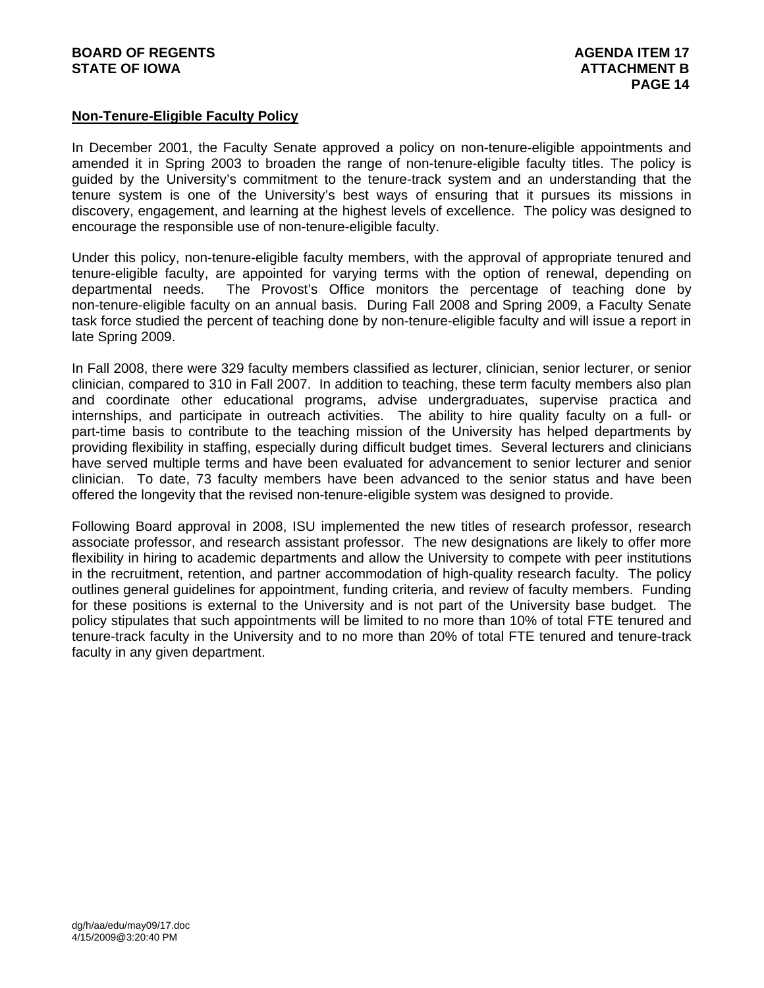## **Non-Tenure-Eligible Faculty Policy**

In December 2001, the Faculty Senate approved a policy on non-tenure-eligible appointments and amended it in Spring 2003 to broaden the range of non-tenure-eligible faculty titles. The policy is guided by the University's commitment to the tenure-track system and an understanding that the tenure system is one of the University's best ways of ensuring that it pursues its missions in discovery, engagement, and learning at the highest levels of excellence. The policy was designed to encourage the responsible use of non-tenure-eligible faculty.

Under this policy, non-tenure-eligible faculty members, with the approval of appropriate tenured and tenure-eligible faculty, are appointed for varying terms with the option of renewal, depending on departmental needs. The Provost's Office monitors the percentage of teaching done by non-tenure-eligible faculty on an annual basis. During Fall 2008 and Spring 2009, a Faculty Senate task force studied the percent of teaching done by non-tenure-eligible faculty and will issue a report in late Spring 2009.

In Fall 2008, there were 329 faculty members classified as lecturer, clinician, senior lecturer, or senior clinician, compared to 310 in Fall 2007. In addition to teaching, these term faculty members also plan and coordinate other educational programs, advise undergraduates, supervise practica and internships, and participate in outreach activities. The ability to hire quality faculty on a full- or part-time basis to contribute to the teaching mission of the University has helped departments by providing flexibility in staffing, especially during difficult budget times. Several lecturers and clinicians have served multiple terms and have been evaluated for advancement to senior lecturer and senior clinician. To date, 73 faculty members have been advanced to the senior status and have been offered the longevity that the revised non-tenure-eligible system was designed to provide.

Following Board approval in 2008, ISU implemented the new titles of research professor, research associate professor, and research assistant professor. The new designations are likely to offer more flexibility in hiring to academic departments and allow the University to compete with peer institutions in the recruitment, retention, and partner accommodation of high-quality research faculty. The policy outlines general guidelines for appointment, funding criteria, and review of faculty members. Funding for these positions is external to the University and is not part of the University base budget. The policy stipulates that such appointments will be limited to no more than 10% of total FTE tenured and tenure-track faculty in the University and to no more than 20% of total FTE tenured and tenure-track faculty in any given department.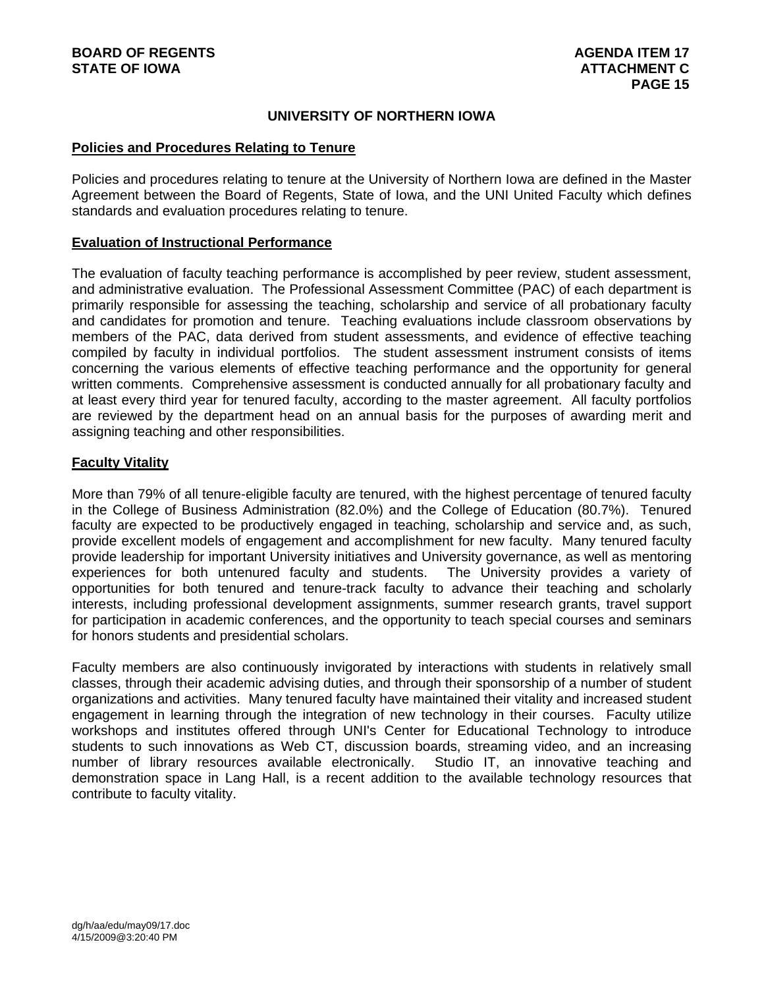## **UNIVERSITY OF NORTHERN IOWA**

### **Policies and Procedures Relating to Tenure**

Policies and procedures relating to tenure at the University of Northern Iowa are defined in the Master Agreement between the Board of Regents, State of Iowa, and the UNI United Faculty which defines standards and evaluation procedures relating to tenure.

### **Evaluation of Instructional Performance**

The evaluation of faculty teaching performance is accomplished by peer review, student assessment, and administrative evaluation. The Professional Assessment Committee (PAC) of each department is primarily responsible for assessing the teaching, scholarship and service of all probationary faculty and candidates for promotion and tenure. Teaching evaluations include classroom observations by members of the PAC, data derived from student assessments, and evidence of effective teaching compiled by faculty in individual portfolios. The student assessment instrument consists of items concerning the various elements of effective teaching performance and the opportunity for general written comments. Comprehensive assessment is conducted annually for all probationary faculty and at least every third year for tenured faculty, according to the master agreement. All faculty portfolios are reviewed by the department head on an annual basis for the purposes of awarding merit and assigning teaching and other responsibilities.

## **Faculty Vitality**

More than 79% of all tenure-eligible faculty are tenured, with the highest percentage of tenured faculty in the College of Business Administration (82.0%) and the College of Education (80.7%). Tenured faculty are expected to be productively engaged in teaching, scholarship and service and, as such, provide excellent models of engagement and accomplishment for new faculty. Many tenured faculty provide leadership for important University initiatives and University governance, as well as mentoring experiences for both untenured faculty and students. The University provides a variety of opportunities for both tenured and tenure-track faculty to advance their teaching and scholarly interests, including professional development assignments, summer research grants, travel support for participation in academic conferences, and the opportunity to teach special courses and seminars for honors students and presidential scholars.

Faculty members are also continuously invigorated by interactions with students in relatively small classes, through their academic advising duties, and through their sponsorship of a number of student organizations and activities. Many tenured faculty have maintained their vitality and increased student engagement in learning through the integration of new technology in their courses. Faculty utilize workshops and institutes offered through UNI's Center for Educational Technology to introduce students to such innovations as Web CT, discussion boards, streaming video, and an increasing number of library resources available electronically. Studio IT, an innovative teaching and demonstration space in Lang Hall, is a recent addition to the available technology resources that contribute to faculty vitality.